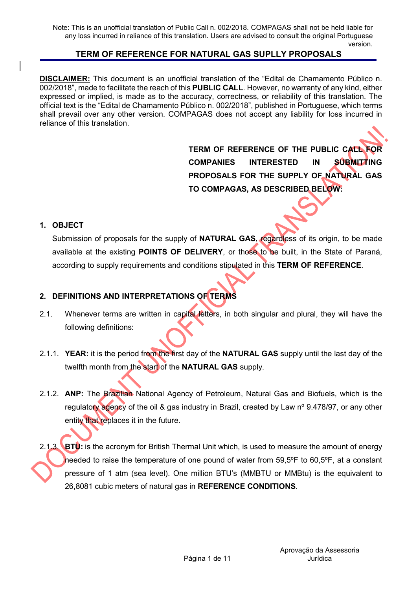**DISCLAIMER:** This document is an unofficial translation of the "Edital de Chamamento Público n. 002/2018", made to facilitate the reach of this PUBLIC CALL. However, no warranty of any kind, either expressed or implied, is made as to the accuracy, correctness, or reliability of this translation. The official text is the "Edital de Chamamento Público n. 002/2018", published in Portuguese, which terms shall prevail over any other version. COMPAGAS does not accept any liability for loss incurred in reliance of this translation.

> TERM OF REFERENCE OF THE PUBLIC CALL FOR COMPANIES INTERESTED IN SUBMITTING PROPOSALS FOR THE SUPPLY OF NATURAL GAS TO COMPAGAS, AS DESCRIBED BELOW:

#### 1. OBJECT

Submission of proposals for the supply of **NATURAL GAS**, regardless of its origin, to be made available at the existing **POINTS OF DELIVERY**, or those to be built, in the State of Paraná, according to supply requirements and conditions stipulated in this TERM OF REFERENCE.

## 2. DEFINITIONS AND INTERPRETATIONS OF TERMS

- 2.1. Whenever terms are written in capital letters, in both singular and plural, they will have the following definitions:
- 2.1.1. YEAR: it is the period from the first day of the NATURAL GAS supply until the last day of the twelfth month from the start of the NATURAL GAS supply.
- 2.1.2. ANP: The Brazilian National Agency of Petroleum, Natural Gas and Biofuels, which is the regulatory agency of the oil & gas industry in Brazil, created by Law nº 9.478/97, or any other entity that replaces it in the future.
- 2.1.3. BTU: is the acronym for British Thermal Unit which, is used to measure the amount of energy needed to raise the temperature of one pound of water from 59,5ºF to 60,5ºF, at a constant pressure of 1 atm (sea level). One million BTU's (MMBTU or MMBtu) is the equivalent to 26,8081 cubic meters of natural gas in REFERENCE CONDITIONS.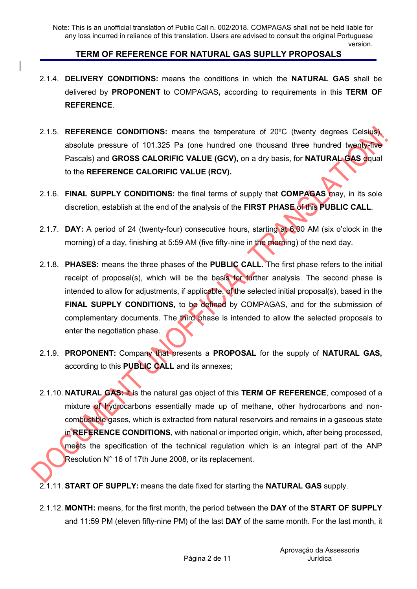- 2.1.4. DELIVERY CONDITIONS: means the conditions in which the NATURAL GAS shall be delivered by PROPONENT to COMPAGAS, according to requirements in this TERM OF REFERENCE.
- 2.1.5. REFERENCE CONDITIONS: means the temperature of 20ºC (twenty degrees Celsius), absolute pressure of 101.325 Pa (one hundred one thousand three hundred twenty-five Pascals) and GROSS CALORIFIC VALUE (GCV), on a dry basis, for NATURAL GAS equal to the REFERENCE CALORIFIC VALUE (RCV).
- 2.1.6. FINAL SUPPLY CONDITIONS: the final terms of supply that COMPAGAS may, in its sole discretion, establish at the end of the analysis of the FIRST PHASE of this PUBLIC CALL.
- 2.1.7. DAY: A period of 24 (twenty-four) consecutive hours, starting at 6:00 AM (six o'clock in the morning) of a day, finishing at 5:59 AM (five fifty-nine in the morning) of the next day.
- 2.1.8. PHASES: means the three phases of the PUBLIC CALL. The first phase refers to the initial receipt of proposal(s), which will be the basis for further analysis. The second phase is intended to allow for adjustments, if applicable, of the selected initial proposal(s), based in the FINAL SUPPLY CONDITIONS, to be defined by COMPAGAS, and for the submission of complementary documents. The third phase is intended to allow the selected proposals to enter the negotiation phase.
- 2.1.9. PROPONENT: Company that presents a PROPOSAL for the supply of NATURAL GAS, according to this PUBLIC CALL and its annexes;
- 2.1.10. NATURAL GAS: it is the natural gas object of this TERM OF REFERENCE, composed of a mixture of hydrocarbons essentially made up of methane, other hydrocarbons and noncombustible gases, which is extracted from natural reservoirs and remains in a gaseous state in REFERENCE CONDITIONS, with national or imported origin, which, after being processed, meets the specification of the technical regulation which is an integral part of the ANP Resolution N° 16 of 17th June 2008, or its replacement.
- 2.1.11. START OF SUPPLY: means the date fixed for starting the NATURAL GAS supply.
- 2.1.12. MONTH: means, for the first month, the period between the DAY of the START OF SUPPLY and 11:59 PM (eleven fifty-nine PM) of the last DAY of the same month. For the last month, it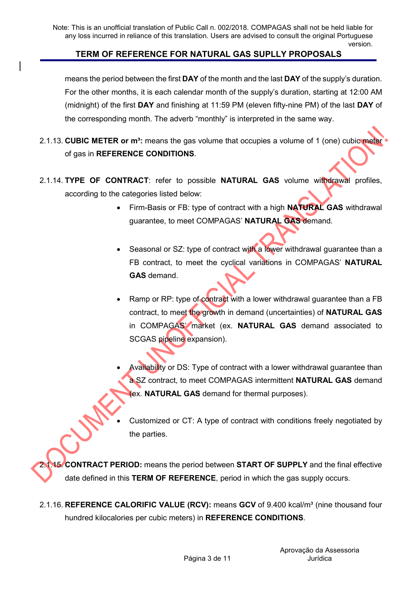### TERM OF REFERENCE FOR NATURAL GAS SUPLLY PROPOSALS

means the period between the first **DAY** of the month and the last **DAY** of the supply's duration. For the other months, it is each calendar month of the supply's duration, starting at 12:00 AM (midnight) of the first DAY and finishing at 11:59 PM (eleven fifty-nine PM) of the last DAY of the corresponding month. The adverb "monthly" is interpreted in the same way.

- 2.1.13. CUBIC METER or  $m^3$ : means the gas volume that occupies a volume of 1 (one) cubic meter of gas in REFERENCE CONDITIONS.
- 2.1.14. TYPE OF CONTRACT: refer to possible NATURAL GAS volume withdrawal profiles, according to the categories listed below:
	- Firm-Basis or FB: type of contract with a high NATURAL GAS withdrawal guarantee, to meet COMPAGAS' NATURAL GAS demand.
	- Seasonal or SZ: type of contract with a lower withdrawal guarantee than a FB contract, to meet the cyclical variations in COMPAGAS' NATURAL GAS demand.
	- Ramp or RP: type of contract with a lower withdrawal guarantee than a FB contract, to meet the growth in demand (uncertainties) of NATURAL GAS in COMPAGAS' market (ex. NATURAL GAS demand associated to SCGAS pipeline expansion).
	- Availability or DS: Type of contract with a lower withdrawal guarantee than a SZ contract, to meet COMPAGAS intermittent **NATURAL GAS** demand (ex. NATURAL GAS demand for thermal purposes).
	- Customized or CT: A type of contract with conditions freely negotiated by the parties.

2.1.15. CONTRACT PERIOD: means the period between START OF SUPPLY and the final effective date defined in this TERM OF REFERENCE, period in which the gas supply occurs.

2.1.16. REFERENCE CALORIFIC VALUE (RCV): means GCV of 9.400 kcal/m<sup>3</sup> (nine thousand four hundred kilocalories per cubic meters) in REFERENCE CONDITIONS.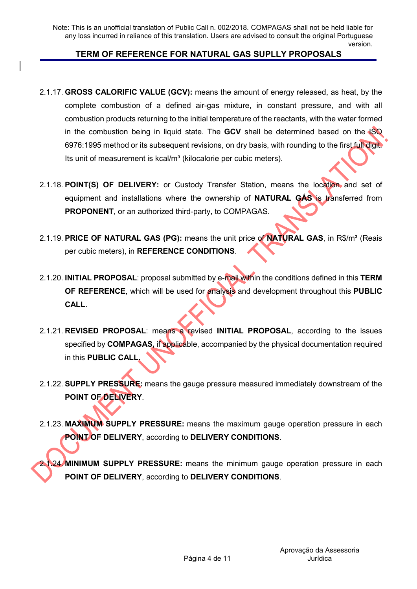### TERM OF REFERENCE FOR NATURAL GAS SUPLLY PROPOSALS

- 2.1.17. GROSS CALORIFIC VALUE (GCV): means the amount of energy released, as heat, by the complete combustion of a defined air-gas mixture, in constant pressure, and with all combustion products returning to the initial temperature of the reactants, with the water formed in the combustion being in liquid state. The **GCV** shall be determined based on the  $\sqrt{SO}$ 6976:1995 method or its subsequent revisions, on dry basis, with rounding to the first full digit. Its unit of measurement is kcal/m<sup>3</sup> (kilocalorie per cubic meters).
- 2.1.18. POINT(S) OF DELIVERY: or Custody Transfer Station, means the location and set of equipment and installations where the ownership of NATURAL GÁS is transferred from PROPONENT, or an authorized third-party, to COMPAGAS.
- 2.1.19. PRICE OF NATURAL GAS (PG): means the unit price of NATURAL GAS, in R\$/m<sup>3</sup> (Reais per cubic meters), in REFERENCE CONDITIONS.
- 2.1.20. INITIAL PROPOSAL: proposal submitted by e-mail within the conditions defined in this TERM OF REFERENCE, which will be used for analysis and development throughout this PUBLIC CALL.
- 2.1.21. REVISED PROPOSAL: means a revised INITIAL PROPOSAL, according to the issues specified by **COMPAGAS**, if applicable, accompanied by the physical documentation required in this PUBLIC CALL.
- 2.1.22. SUPPLY PRESSURE: means the gauge pressure measured immediately downstream of the POINT OF DELIVERY.
- 2.1.23. MAXIMUM SUPPLY PRESSURE: means the maximum gauge operation pressure in each POINT OF DELIVERY, according to DELIVERY CONDITIONS.

2.1.24. MINIMUM SUPPLY PRESSURE: means the minimum gauge operation pressure in each POINT OF DELIVERY, according to DELIVERY CONDITIONS.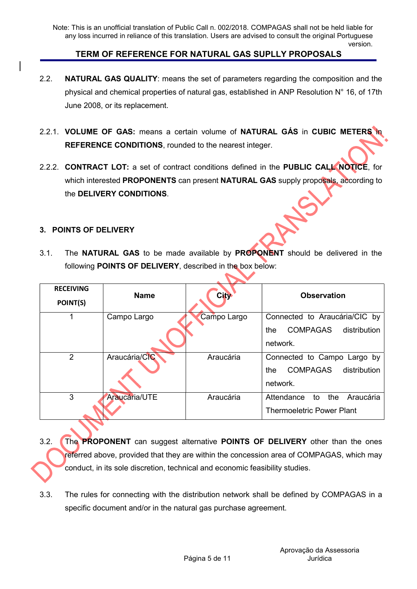- 2.2. **NATURAL GAS QUALITY:** means the set of parameters regarding the composition and the physical and chemical properties of natural gas, established in ANP Resolution N° 16, of 17th June 2008, or its replacement.
- 2.2.1. VOLUME OF GAS: means a certain volume of NATURAL GAS in CUBIC METERS in REFERENCE CONDITIONS, rounded to the nearest integer.
- 2.2.2. **CONTRACT LOT:** a set of contract conditions defined in the **PUBLIC CALL NOTICE**, for which interested **PROPONENTS** can present **NATURAL GAS** supply proposals, according to the DELIVERY CONDITIONS.

#### 3. POINTS OF DELIVERY

3.1. The NATURAL GAS to be made available by PROPONENT should be delivered in the following POINTS OF DELIVERY, described in the box below:

| <b>RECEIVING</b><br>POINT(S) | <b>Name</b>   | <b>City</b> | <b>Observation</b>                                                                  |
|------------------------------|---------------|-------------|-------------------------------------------------------------------------------------|
|                              | Campo Largo   | Campo Largo | Connected to Araucária/CIC by<br><b>COMPAGAS</b><br>distribution<br>the<br>network. |
| $\overline{2}$               | Araucária/CIC | Araucária   | Connected to Campo Largo by<br><b>COMPAGAS</b><br>distribution<br>the<br>network.   |
| 3                            | Araucária/UTE | Araucária   | Attendance<br>the<br>Araucária<br>to<br><b>Thermoeletric Power Plant</b>            |

- 3.2. The PROPONENT can suggest alternative POINTS OF DELIVERY other than the ones referred above, provided that they are within the concession area of COMPAGAS, which may conduct, in its sole discretion, technical and economic feasibility studies.
- 3.3. The rules for connecting with the distribution network shall be defined by COMPAGAS in a specific document and/or in the natural gas purchase agreement.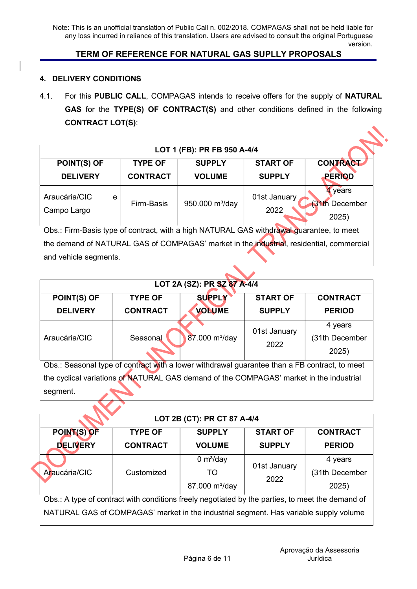# TERM OF REFERENCE FOR NATURAL GAS SUPLLY PROPOSALS

#### 4. DELIVERY CONDITIONS

4.1. For this PUBLIC CALL, COMPAGAS intends to receive offers for the supply of NATURAL GAS for the TYPE(S) OF CONTRACT(S) and other conditions defined in the following CONTRACT LOT(S):

| LOT 1 (FB): PR FB 950 A-4/4                                                                                                                                                                                   |                 |                    |                      |                                          |  |  |
|---------------------------------------------------------------------------------------------------------------------------------------------------------------------------------------------------------------|-----------------|--------------------|----------------------|------------------------------------------|--|--|
| POINT(S) OF                                                                                                                                                                                                   | <b>TYPE OF</b>  | <b>SUPPLY</b>      | <b>START OF</b>      | <b>CONTRACT</b>                          |  |  |
| <b>DELIVERY</b>                                                                                                                                                                                               | <b>CONTRACT</b> | <b>VOLUME</b>      | <b>SUPPLY</b>        | <b>PERIOD</b>                            |  |  |
| Araucária/CIC<br>e<br>Campo Largo                                                                                                                                                                             | Firm-Basis      | 950.000 $m^3$ /day | 01st January<br>2022 | 4 years<br><b>31th December</b><br>2025) |  |  |
| Obs.: Firm-Basis type of contract, with a high NATURAL GAS withdrawal quarantee, to meet<br>the demand of NATURAL GAS of COMPAGAS' market in the industrial, residential, commercial<br>and vehicle segments. |                 |                    |                      |                                          |  |  |

|                                                                                               |                 | LOT 2A (SZ): PR SZ 87 A-4/4 |                 |                 |  |
|-----------------------------------------------------------------------------------------------|-----------------|-----------------------------|-----------------|-----------------|--|
| <b>POINT(S) OF</b>                                                                            | <b>TYPE OF</b>  | <b>SUPPLY</b>               | <b>START OF</b> | <b>CONTRACT</b> |  |
| <b>DELIVERY</b>                                                                               | <b>CONTRACT</b> | <b>VOLUME</b>               | <b>SUPPLY</b>   | <b>PERIOD</b>   |  |
|                                                                                               |                 |                             | 01st January    | 4 years         |  |
| Araucária/CIC                                                                                 | Seasonal        | 87.000 m <sup>3</sup> /day  | 2022            | (31th December  |  |
|                                                                                               |                 |                             |                 | 2025)           |  |
| Obs.: Seasonal type of contract with a lower withdrawal guarantee than a FB contract, to meet |                 |                             |                 |                 |  |
| the cyclical variations of NATURAL GAS demand of the COMPAGAS' market in the industrial       |                 |                             |                 |                 |  |
| segment.                                                                                      |                 |                             |                 |                 |  |

|                                                                                                  |                 | LOT 2B (CT): PR CT 87 A-4/4 |                 |                 |  |  |
|--------------------------------------------------------------------------------------------------|-----------------|-----------------------------|-----------------|-----------------|--|--|
| POINT(S) OF                                                                                      | <b>TYPE OF</b>  | <b>SUPPLY</b>               | <b>START OF</b> | <b>CONTRACT</b> |  |  |
| <b>DELIVERY</b>                                                                                  | <b>CONTRACT</b> | <b>VOLUME</b>               | <b>SUPPLY</b>   | <b>PERIOD</b>   |  |  |
|                                                                                                  |                 | 0 $m^3$ /day                | 01st January    | 4 years         |  |  |
| Araucária/CIC                                                                                    | Customized      | TO.                         | 2022            | (31th December  |  |  |
|                                                                                                  |                 | 87.000 m <sup>3</sup> /day  |                 | 2025)           |  |  |
| Obs.: A type of contract with conditions freely negotiated by the parties, to meet the demand of |                 |                             |                 |                 |  |  |
| NATURAL GAS of COMPAGAS' market in the industrial segment. Has variable supply volume            |                 |                             |                 |                 |  |  |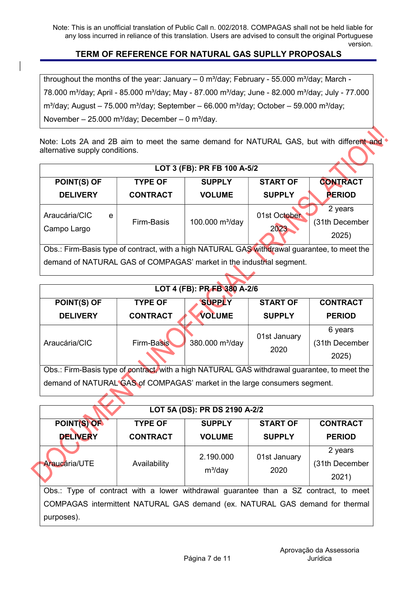## TERM OF REFERENCE FOR NATURAL GAS SUPLLY PROPOSALS

throughout the months of the year: January  $-$  0 m<sup>3</sup>/day; February - 55.000 m<sup>3</sup>/day; March -78.000 m<sup>3</sup>/day; April - 85.000 m<sup>3</sup>/day; May - 87.000 m<sup>3</sup>/day; June - 82.000 m<sup>3</sup>/day; July - 77.000 m<sup>3</sup>/day; August – 75.000 m<sup>3</sup>/day; September – 66.000 m<sup>3</sup>/day; October – 59.000 m<sup>3</sup>/day; November – 25.000 m<sup>3</sup>/day; December – 0 m<sup>3</sup>/day.

Note: Lots 2A and 2B aim to meet the same demand for NATURAL GAS, but with different and alternative supply conditions.

| <b>POINT(S) OF</b>                                                                           | <b>TYPE OF</b>                                                       | <b>SUPPLY</b>      | <b>START OF</b> | <b>CONTRACT</b> |  |  |
|----------------------------------------------------------------------------------------------|----------------------------------------------------------------------|--------------------|-----------------|-----------------|--|--|
| <b>DELIVERY</b>                                                                              | <b>CONTRACT</b>                                                      | <b>VOLUME</b>      | <b>SUPPLY</b>   | <b>PERIOD</b>   |  |  |
| Araucária/CIC<br>e                                                                           |                                                                      |                    | 01st October    | 2 years         |  |  |
|                                                                                              | Firm-Basis                                                           | 100.000 $m^3$ /day | 2023            | (31th December  |  |  |
| Campo Largo                                                                                  |                                                                      |                    |                 | 2025)           |  |  |
| Obs.: Firm-Basis type of contract, with a high NATURAL GAS withdrawal guarantee, to meet the |                                                                      |                    |                 |                 |  |  |
|                                                                                              | demand of NATURAL GAS of COMPAGAS' market in the industrial segment. |                    |                 |                 |  |  |

|                                                                                              |                                                                           | LOT 4 (FB): PR FB 380 A-2/6 |                 |                 |  |  |  |
|----------------------------------------------------------------------------------------------|---------------------------------------------------------------------------|-----------------------------|-----------------|-----------------|--|--|--|
| <b>POINT(S) OF</b>                                                                           | <b>TYPE OF</b>                                                            | <b>SUPPLY</b>               | <b>START OF</b> | <b>CONTRACT</b> |  |  |  |
| <b>DELIVERY</b>                                                                              | <b>CONTRACT</b>                                                           | <b>VOLUME</b>               | <b>SUPPLY</b>   | <b>PERIOD</b>   |  |  |  |
|                                                                                              |                                                                           |                             | 01st January    | 6 years         |  |  |  |
| Araucária/CIC                                                                                | <b>Firm-Basis</b>                                                         | 380.000 m <sup>3</sup> /day | 2020            | (31th December  |  |  |  |
|                                                                                              |                                                                           |                             |                 | 2025)           |  |  |  |
| Obs.: Firm-Basis type of contract, with a high NATURAL GAS withdrawal guarantee, to meet the |                                                                           |                             |                 |                 |  |  |  |
|                                                                                              | demand of NATURAL GAS of COMPAGAS' market in the large consumers segment. |                             |                 |                 |  |  |  |

|                                                                                                                                                                                    |                 | LOT 5A (DS): PR DS 2190 A-2/2 |                      |                                    |
|------------------------------------------------------------------------------------------------------------------------------------------------------------------------------------|-----------------|-------------------------------|----------------------|------------------------------------|
| POINT(S) OF                                                                                                                                                                        | <b>TYPE OF</b>  | <b>SUPPLY</b>                 | <b>START OF</b>      | <b>CONTRACT</b>                    |
| <b>DELIVERY</b>                                                                                                                                                                    | <b>CONTRACT</b> | <b>VOLUME</b>                 | <b>SUPPLY</b>        | <b>PERIOD</b>                      |
| <b>Araucária/UTE</b>                                                                                                                                                               | Availability    | 2.190.000<br>$m^3$ /day       | 01st January<br>2020 | 2 years<br>(31th December<br>2021) |
| Obs.: Type of contract with a lower withdrawal guarantee than a SZ contract, to meet<br>COMPAGAS intermittent NATURAL GAS demand (ex. NATURAL GAS demand for thermal<br>purposes). |                 |                               |                      |                                    |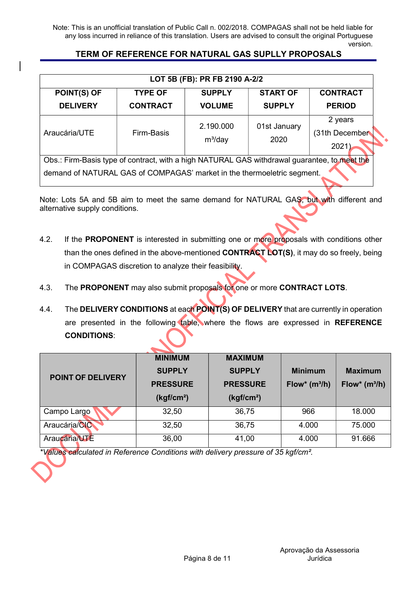## TERM OF REFERENCE FOR NATURAL GAS SUPLLY PROPOSALS

| LOT 5B (FB): PR FB 2190 A-2/2                                                                                                                                           |                 |                      |                                    |                 |  |  |
|-------------------------------------------------------------------------------------------------------------------------------------------------------------------------|-----------------|----------------------|------------------------------------|-----------------|--|--|
| <b>POINT(S) OF</b>                                                                                                                                                      | <b>TYPE OF</b>  | <b>SUPPLY</b>        | <b>START OF</b>                    | <b>CONTRACT</b> |  |  |
| <b>DELIVERY</b>                                                                                                                                                         | <b>CONTRACT</b> | <b>VOLUME</b>        | <b>SUPPLY</b>                      | <b>PERIOD</b>   |  |  |
| Araucária/UTE                                                                                                                                                           | Firm-Basis      | 01st January<br>2020 | 2 years<br>(31th December<br>2021) |                 |  |  |
| Obs.: Firm-Basis type of contract, with a high NATURAL GAS withdrawal guarantee, to meet the<br>demand of NATURAL GAS of COMPAGAS' market in the thermoeletric segment. |                 |                      |                                    |                 |  |  |

Note: Lots 5A and 5B aim to meet the same demand for NATURAL GAS, but with different and alternative supply conditions.

- 4.2. If the PROPONENT is interested in submitting one or more proposals with conditions other than the ones defined in the above-mentioned CONTRACT LOT(S), it may do so freely, being in COMPAGAS discretion to analyze their feasibility.
- 4.3. The PROPONENT may also submit proposals for one or more CONTRACT LOTS.
- 4.4. The DELIVERY CONDITIONS at each POINT(S) OF DELIVERY that are currently in operation are presented in the following table, where the flows are expressed in REFERENCE CONDITIONS:

| <b>POINT OF DELIVERY</b> | <b>MINIMUM</b><br><b>SUPPLY</b><br><b>PRESSURE</b><br>(kgf/cm <sup>2</sup> ) | <b>MAXIMUM</b><br><b>SUPPLY</b><br><b>PRESSURE</b><br>(kgf/cm <sup>2</sup> ) | <b>Minimum</b><br>$Flow^*(m^3/h)$ | <b>Maximum</b><br>Flow* $(m^3/h)$ |
|--------------------------|------------------------------------------------------------------------------|------------------------------------------------------------------------------|-----------------------------------|-----------------------------------|
| Campo Largo              | 32,50                                                                        | 36,75                                                                        | 966                               | 18,000                            |
| Araucária/CIC            | 32,50                                                                        | 36,75                                                                        | 4.000                             | 75,000                            |
| Araucária/UTE            | 36,00                                                                        | 41,00                                                                        | 4.000                             | 91.666                            |

\*Values calculated in Reference Conditions with delivery pressure of 35 kgf/cm².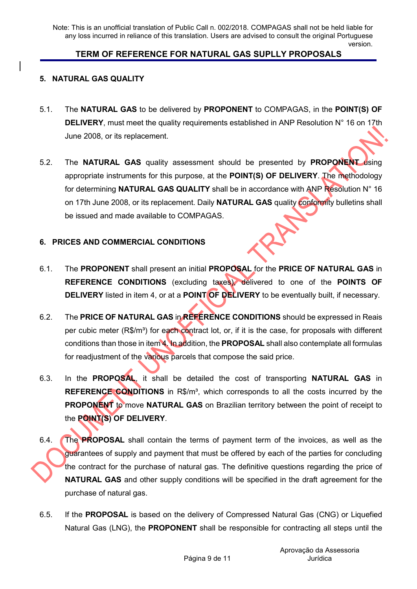### TERM OF REFERENCE FOR NATURAL GAS SUPLLY PROPOSALS

#### 5. NATURAL GAS QUALITY

- 5.1. The NATURAL GAS to be delivered by PROPONENT to COMPAGAS, in the POINT(S) OF DELIVERY, must meet the quality requirements established in ANP Resolution N° 16 on 17th June 2008, or its replacement.
- 5.2. The NATURAL GAS quality assessment should be presented by PROPONENT using appropriate instruments for this purpose, at the POINT(S) OF DELIVERY. The methodology for determining NATURAL GAS QUALITY shall be in accordance with ANP Resolution N° 16 on 17th June 2008, or its replacement. Daily NATURAL GAS quality conformity bulletins shall be issued and made available to COMPAGAS.

#### 6. PRICES AND COMMERCIAL CONDITIONS

- 6.1. The PROPONENT shall present an initial PROPOSAL for the PRICE OF NATURAL GAS in REFERENCE CONDITIONS (excluding taxes), delivered to one of the POINTS OF DELIVERY listed in item 4, or at a POINT OF DELIVERY to be eventually built, if necessary.
- 6.2. The PRICE OF NATURAL GAS in REFERENCE CONDITIONS should be expressed in Reais per cubic meter (R\$/m<sup>3</sup>) for each contract lot, or, if it is the case, for proposals with different conditions than those in item 4. In addition, the PROPOSAL shall also contemplate all formulas for readjustment of the various parcels that compose the said price.
- 6.3. In the PROPOSAL, it shall be detailed the cost of transporting NATURAL GAS in REFERENCE CONDITIONS in R\$/m<sup>3</sup>, which corresponds to all the costs incurred by the PROPONENT to move NATURAL GAS on Brazilian territory between the point of receipt to the **POINT(S) OF DELIVERY.**
- 6.4. The PROPOSAL shall contain the terms of payment term of the invoices, as well as the guarantees of supply and payment that must be offered by each of the parties for concluding the contract for the purchase of natural gas. The definitive questions regarding the price of **NATURAL GAS** and other supply conditions will be specified in the draft agreement for the purchase of natural gas.
- 6.5. If the PROPOSAL is based on the delivery of Compressed Natural Gas (CNG) or Liquefied Natural Gas (LNG), the **PROPONENT** shall be responsible for contracting all steps until the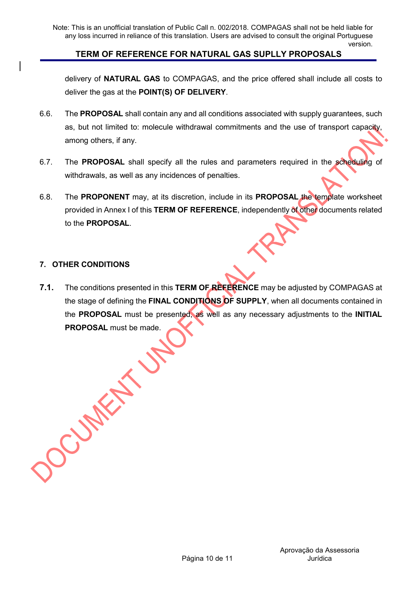delivery of NATURAL GAS to COMPAGAS, and the price offered shall include all costs to deliver the gas at the POINT(S) OF DELIVERY.

- 6.6. The PROPOSAL shall contain any and all conditions associated with supply guarantees, such as, but not limited to: molecule withdrawal commitments and the use of transport capacity, among others, if any.
- 6.7. The PROPOSAL shall specify all the rules and parameters required in the scheduling of withdrawals, as well as any incidences of penalties.
- 6.8. The PROPONENT may, at its discretion, include in its PROPOSAL the template worksheet provided in Annex I of this TERM OF REFERENCE, independently of other documents related to the PROPOSAL.

#### 7. OTHER CONDITIONS

7.1. The conditions presented in this TERM OF REFERENCE may be adjusted by COMPAGAS at the stage of defining the FINAL CONDITIONS OF SUPPLY, when all documents contained in the PROPOSAL must be presented, as well as any necessary adjustments to the INITIAL PROPOSAL must be made.